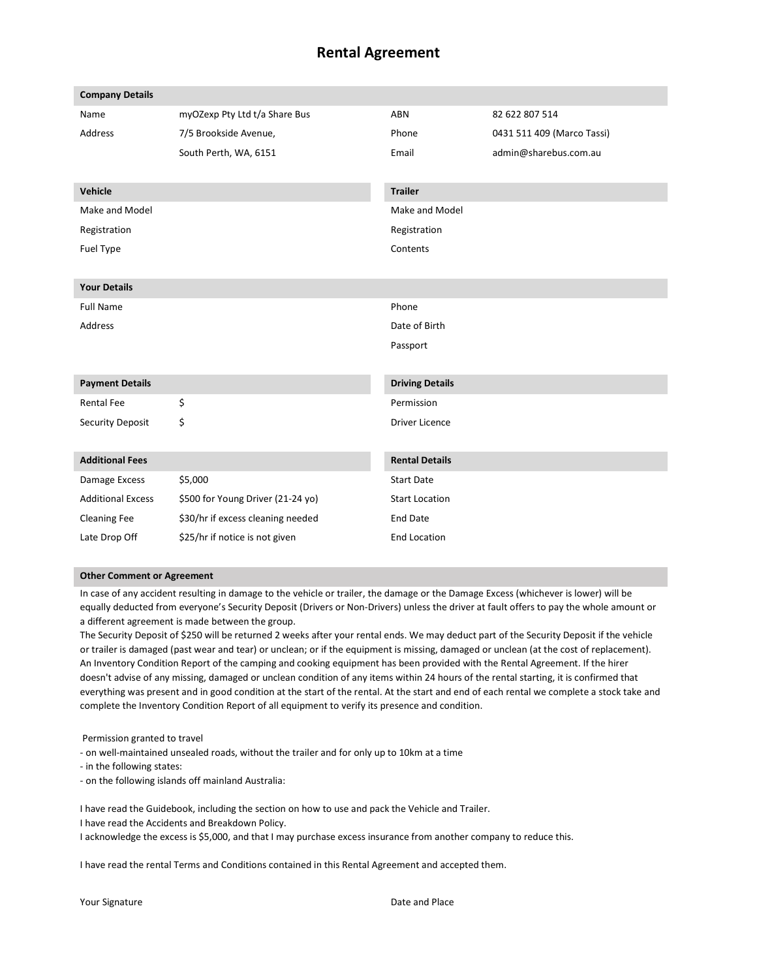# **Rental Agreement**

| <b>Company Details</b>   |                                   |                        |                            |
|--------------------------|-----------------------------------|------------------------|----------------------------|
| Name                     | myOZexp Pty Ltd t/a Share Bus     | <b>ABN</b>             | 82 622 807 514             |
| <b>Address</b>           | 7/5 Brookside Avenue,             | Phone                  | 0431 511 409 (Marco Tassi) |
|                          | South Perth, WA, 6151             | Email                  | admin@sharebus.com.au      |
|                          |                                   |                        |                            |
| <b>Vehicle</b>           |                                   | <b>Trailer</b>         |                            |
| Make and Model           |                                   | Make and Model         |                            |
| Registration             |                                   | Registration           |                            |
| Fuel Type                |                                   | Contents               |                            |
|                          |                                   |                        |                            |
| <b>Your Details</b>      |                                   |                        |                            |
| <b>Full Name</b>         |                                   | Phone                  |                            |
| <b>Address</b>           |                                   | Date of Birth          |                            |
|                          |                                   | Passport               |                            |
|                          |                                   |                        |                            |
| <b>Payment Details</b>   |                                   | <b>Driving Details</b> |                            |
| <b>Rental Fee</b>        | \$                                | Permission             |                            |
| Security Deposit         | \$                                | <b>Driver Licence</b>  |                            |
|                          |                                   |                        |                            |
| <b>Additional Fees</b>   |                                   | <b>Rental Details</b>  |                            |
| Damage Excess            | \$5,000                           | <b>Start Date</b>      |                            |
| <b>Additional Excess</b> | \$500 for Young Driver (21-24 yo) | <b>Start Location</b>  |                            |
| <b>Cleaning Fee</b>      | \$30/hr if excess cleaning needed | <b>End Date</b>        |                            |
| Late Drop Off            | \$25/hr if notice is not given    | <b>End Location</b>    |                            |
|                          |                                   |                        |                            |

#### **Other Comment or Agreement**

In case of any accident resulting in damage to the vehicle or trailer, the damage or the Damage Excess (whichever is lower) will be equally deducted from everyone's Security Deposit (Drivers or Non-Drivers) unless the driver at fault offers to pay the whole amount or a different agreement is made between the group.

The Security Deposit of \$250 will be returned 2 weeks after your rental ends. We may deduct part of the Security Deposit if the vehicle or trailer is damaged (past wear and tear) or unclean; or if the equipment is missing, damaged or unclean (at the cost of replacement). An Inventory Condition Report of the camping and cooking equipment has been provided with the Rental Agreement. If the hirer doesn't advise of any missing, damaged or unclean condition of any items within 24 hours of the rental starting, it is confirmed that everything was present and in good condition at the start of the rental. At the start and end of each rental we complete a stock take and complete the Inventory Condition Report of all equipment to verify its presence and condition.

Permission granted to travel

- on well-maintained unsealed roads, without the trailer and for only up to 10km at a time

- in the following states:

- on the following islands off mainland Australia:

I have read the Guidebook, including the section on how to use and pack the Vehicle and Trailer.

I have read the Accidents and Breakdown Policy.

I acknowledge the excess is \$5,000, and that I may purchase excess insurance from another company to reduce this.

I have read the rental Terms and Conditions contained in this Rental Agreement and accepted them.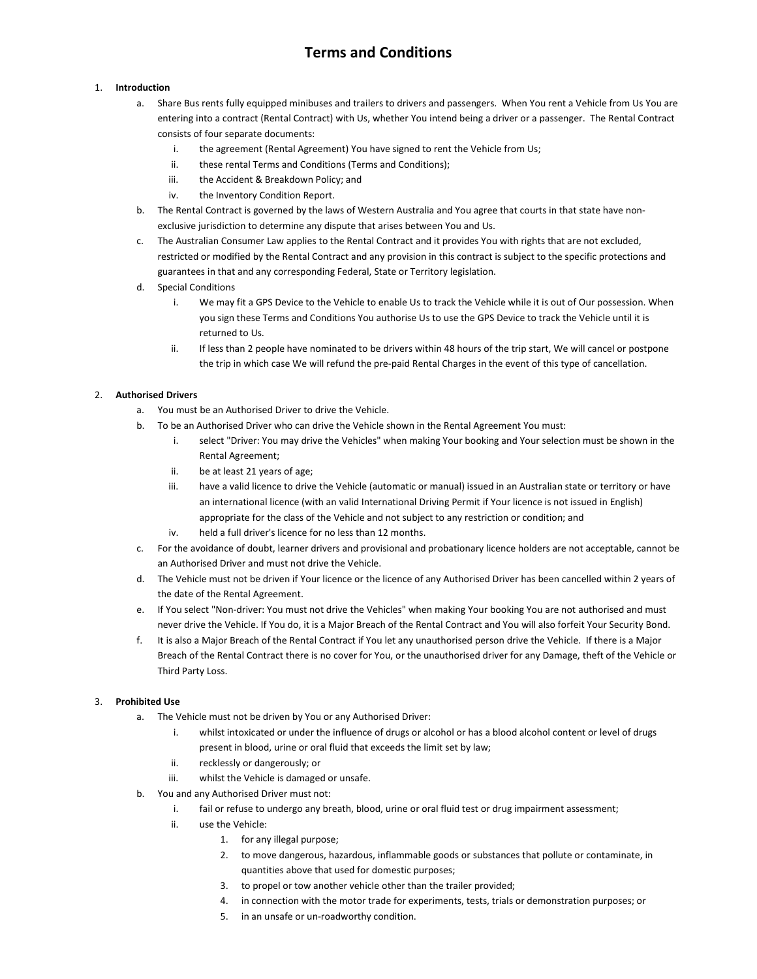# **Terms and Conditions**

## 1. **Introduction**

- a. Share Bus rents fully equipped minibuses and trailers to drivers and passengers. When You rent a Vehicle from Us You are entering into a contract (Rental Contract) with Us, whether You intend being a driver or a passenger. The Rental Contract consists of four separate documents:
	- i. the agreement (Rental Agreement) You have signed to rent the Vehicle from Us;
	- ii. these rental Terms and Conditions (Terms and Conditions);
	- iii. the Accident & Breakdown Policy; and
	- iv. the Inventory Condition Report.
- b. The Rental Contract is governed by the laws of Western Australia and You agree that courts in that state have nonexclusive jurisdiction to determine any dispute that arises between You and Us.
- c. The Australian Consumer Law applies to the Rental Contract and it provides You with rights that are not excluded, restricted or modified by the Rental Contract and any provision in this contract is subject to the specific protections and guarantees in that and any corresponding Federal, State or Territory legislation.
- d. Special Conditions
	- i. We may fit a GPS Device to the Vehicle to enable Us to track the Vehicle while it is out of Our possession. When you sign these Terms and Conditions You authorise Us to use the GPS Device to track the Vehicle until it is returned to Us.
	- ii. If less than 2 people have nominated to be drivers within 48 hours of the trip start, We will cancel or postpone the trip in which case We will refund the pre-paid Rental Charges in the event of this type of cancellation.

## 2. **Authorised Drivers**

- a. You must be an Authorised Driver to drive the Vehicle.
- b. To be an Authorised Driver who can drive the Vehicle shown in the Rental Agreement You must:
	- i. select "Driver: You may drive the Vehicles" when making Your booking and Your selection must be shown in the Rental Agreement;
	- ii. be at least 21 years of age;
	- iii. have a valid licence to drive the Vehicle (automatic or manual) issued in an Australian state or territory or have an international licence (with an valid International Driving Permit if Your licence is not issued in English) appropriate for the class of the Vehicle and not subject to any restriction or condition; and
	- iv. held a full driver's licence for no less than 12 months.
- c. For the avoidance of doubt, learner drivers and provisional and probationary licence holders are not acceptable, cannot be an Authorised Driver and must not drive the Vehicle.
- d. The Vehicle must not be driven if Your licence or the licence of any Authorised Driver has been cancelled within 2 years of the date of the Rental Agreement.
- e. If You select "Non-driver: You must not drive the Vehicles" when making Your booking You are not authorised and must never drive the Vehicle. If You do, it is a Major Breach of the Rental Contract and You will also forfeit Your Security Bond.
- f. It is also a Major Breach of the Rental Contract if You let any unauthorised person drive the Vehicle. If there is a Major Breach of the Rental Contract there is no cover for You, or the unauthorised driver for any Damage, theft of the Vehicle or Third Party Loss.

# 3. **Prohibited Use**

- a. The Vehicle must not be driven by You or any Authorised Driver:
	- i. whilst intoxicated or under the influence of drugs or alcohol or has a blood alcohol content or level of drugs present in blood, urine or oral fluid that exceeds the limit set by law;
	- ii. recklessly or dangerously; or
	- iii. whilst the Vehicle is damaged or unsafe.
- b. You and any Authorised Driver must not:
	- i. fail or refuse to undergo any breath, blood, urine or oral fluid test or drug impairment assessment;
	- ii. use the Vehicle:
		- 1. for any illegal purpose;
		- 2. to move dangerous, hazardous, inflammable goods or substances that pollute or contaminate, in quantities above that used for domestic purposes;
		- 3. to propel or tow another vehicle other than the trailer provided;
		- 4. in connection with the motor trade for experiments, tests, trials or demonstration purposes; or
		- 5. in an unsafe or un-roadworthy condition.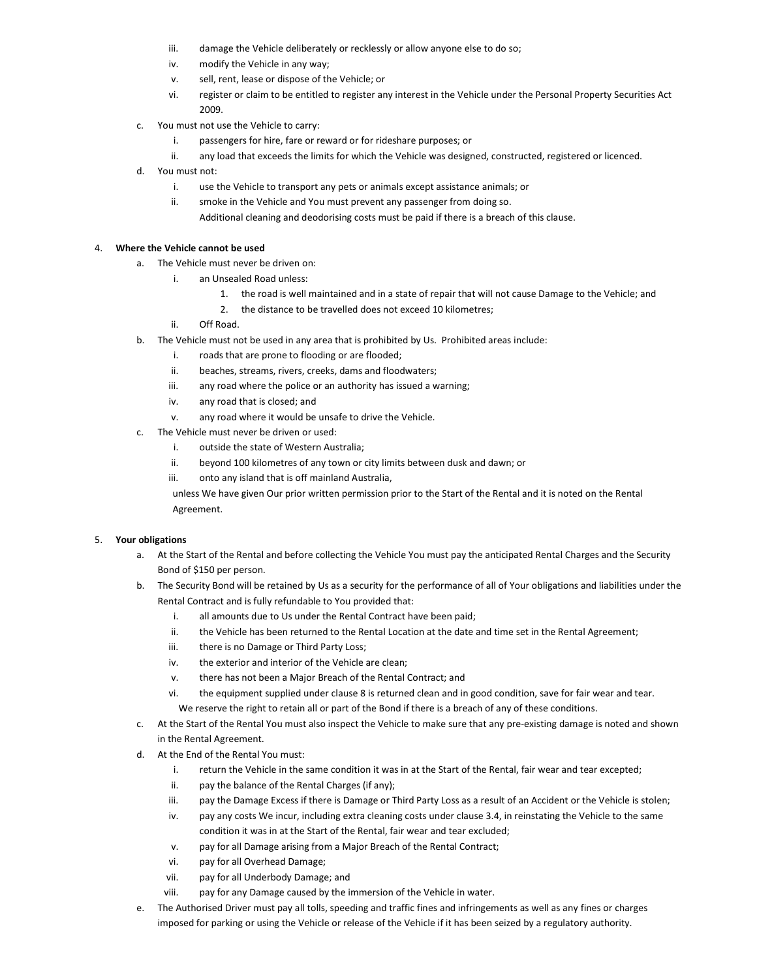- iii. damage the Vehicle deliberately or recklessly or allow anyone else to do so;
- iv. modify the Vehicle in any way;
- v. sell, rent, lease or dispose of the Vehicle; or
- vi. register or claim to be entitled to register any interest in the Vehicle under the Personal Property Securities Act 2009.
- c. You must not use the Vehicle to carry:
	- i. passengers for hire, fare or reward or for rideshare purposes; or
	- ii. any load that exceeds the limits for which the Vehicle was designed, constructed, registered or licenced.
- d. You must not:
	- i. use the Vehicle to transport any pets or animals except assistance animals; or
	- ii. smoke in the Vehicle and You must prevent any passenger from doing so. Additional cleaning and deodorising costs must be paid if there is a breach of this clause.

## 4. **Where the Vehicle cannot be used**

- a. The Vehicle must never be driven on:
	- i. an Unsealed Road unless:
		- 1. the road is well maintained and in a state of repair that will not cause Damage to the Vehicle; and
		- 2. the distance to be travelled does not exceed 10 kilometres;
		- ii. Off Road.
- b. The Vehicle must not be used in any area that is prohibited by Us. Prohibited areas include:
	- i. roads that are prone to flooding or are flooded;
	- ii. beaches, streams, rivers, creeks, dams and floodwaters;
	- iii. any road where the police or an authority has issued a warning;
	- iv. any road that is closed; and
	- v. any road where it would be unsafe to drive the Vehicle.
- c. The Vehicle must never be driven or used:
	- i. outside the state of Western Australia;
	- ii. beyond 100 kilometres of any town or city limits between dusk and dawn; or
	- iii. onto any island that is off mainland Australia,

unless We have given Our prior written permission prior to the Start of the Rental and it is noted on the Rental Agreement.

## 5. **Your obligations**

- a. At the Start of the Rental and before collecting the Vehicle You must pay the anticipated Rental Charges and the Security Bond of \$150 per person.
- b. The Security Bond will be retained by Us as a security for the performance of all of Your obligations and liabilities under the Rental Contract and is fully refundable to You provided that:
	- i. all amounts due to Us under the Rental Contract have been paid;
	- ii. the Vehicle has been returned to the Rental Location at the date and time set in the Rental Agreement;
	- iii. there is no Damage or Third Party Loss;
	- iv. the exterior and interior of the Vehicle are clean;
	- v. there has not been a Major Breach of the Rental Contract; and
	- vi. the equipment supplied under clause 8 is returned clean and in good condition, save for fair wear and tear. We reserve the right to retain all or part of the Bond if there is a breach of any of these conditions.
- c. At the Start of the Rental You must also inspect the Vehicle to make sure that any pre-existing damage is noted and shown in the Rental Agreement.
- d. At the End of the Rental You must:
	- i. return the Vehicle in the same condition it was in at the Start of the Rental, fair wear and tear excepted;
	- ii. pay the balance of the Rental Charges (if any);
	- iii. pay the Damage Excess if there is Damage or Third Party Loss as a result of an Accident or the Vehicle is stolen;
	- iv. pay any costs We incur, including extra cleaning costs under clause 3.4, in reinstating the Vehicle to the same condition it was in at the Start of the Rental, fair wear and tear excluded;
	- v. pay for all Damage arising from a Major Breach of the Rental Contract;
	- vi. pay for all Overhead Damage;
	- vii. pay for all Underbody Damage; and
	- viii. pay for any Damage caused by the immersion of the Vehicle in water.
- e. The Authorised Driver must pay all tolls, speeding and traffic fines and infringements as well as any fines or charges imposed for parking or using the Vehicle or release of the Vehicle if it has been seized by a regulatory authority.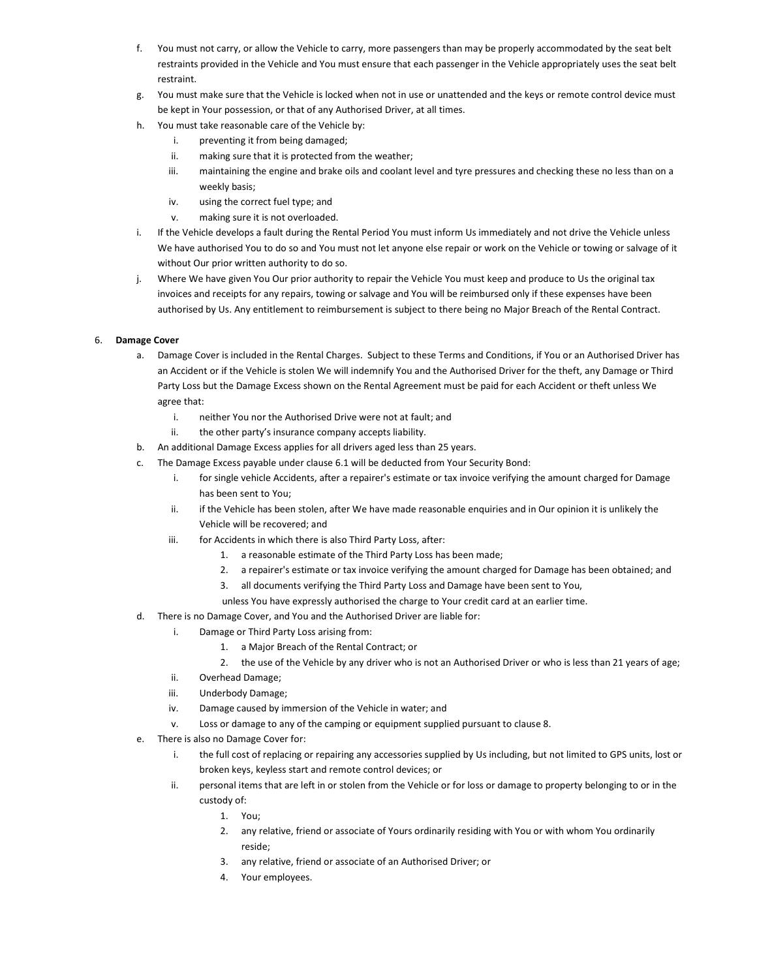- f. You must not carry, or allow the Vehicle to carry, more passengers than may be properly accommodated by the seat belt restraints provided in the Vehicle and You must ensure that each passenger in the Vehicle appropriately uses the seat belt restraint.
- g. You must make sure that the Vehicle is locked when not in use or unattended and the keys or remote control device must be kept in Your possession, or that of any Authorised Driver, at all times.
- h. You must take reasonable care of the Vehicle by:
	- i. preventing it from being damaged;
	- ii. making sure that it is protected from the weather;
	- iii. maintaining the engine and brake oils and coolant level and tyre pressures and checking these no less than on a weekly basis;
	- iv. using the correct fuel type; and
	- v. making sure it is not overloaded.
- i. If the Vehicle develops a fault during the Rental Period You must inform Us immediately and not drive the Vehicle unless We have authorised You to do so and You must not let anyone else repair or work on the Vehicle or towing or salvage of it without Our prior written authority to do so.
- j. Where We have given You Our prior authority to repair the Vehicle You must keep and produce to Us the original tax invoices and receipts for any repairs, towing or salvage and You will be reimbursed only if these expenses have been authorised by Us. Any entitlement to reimbursement is subject to there being no Major Breach of the Rental Contract.

# 6. **Damage Cover**

- a. Damage Cover is included in the Rental Charges. Subject to these Terms and Conditions, if You or an Authorised Driver has an Accident or if the Vehicle is stolen We will indemnify You and the Authorised Driver for the theft, any Damage or Third Party Loss but the Damage Excess shown on the Rental Agreement must be paid for each Accident or theft unless We agree that:
	- i. neither You nor the Authorised Drive were not at fault; and
	- ii. the other party's insurance company accepts liability.
- b. An additional Damage Excess applies for all drivers aged less than 25 years.
- c. The Damage Excess payable under clause 6.1 will be deducted from Your Security Bond:
	- i. for single vehicle Accidents, after a repairer's estimate or tax invoice verifying the amount charged for Damage has been sent to You;
	- ii. if the Vehicle has been stolen, after We have made reasonable enquiries and in Our opinion it is unlikely the Vehicle will be recovered; and
	- iii. for Accidents in which there is also Third Party Loss, after:
		- 1. a reasonable estimate of the Third Party Loss has been made;
		- 2. a repairer's estimate or tax invoice verifying the amount charged for Damage has been obtained; and
		- 3. all documents verifying the Third Party Loss and Damage have been sent to You,
		- unless You have expressly authorised the charge to Your credit card at an earlier time.
- d. There is no Damage Cover, and You and the Authorised Driver are liable for:
	- i. Damage or Third Party Loss arising from:
		- 1. a Major Breach of the Rental Contract; or
		- 2. the use of the Vehicle by any driver who is not an Authorised Driver or who is less than 21 years of age;
	- ii. Overhead Damage;
	- iii. Underbody Damage;
	- iv. Damage caused by immersion of the Vehicle in water; and
	- v. Loss or damage to any of the camping or equipment supplied pursuant to clause 8.
- e. There is also no Damage Cover for:
	- i. the full cost of replacing or repairing any accessories supplied by Us including, but not limited to GPS units, lost or broken keys, keyless start and remote control devices; or
	- ii. personal items that are left in or stolen from the Vehicle or for loss or damage to property belonging to or in the custody of:
		- 1. You;
		- 2. any relative, friend or associate of Yours ordinarily residing with You or with whom You ordinarily reside;
		- 3. any relative, friend or associate of an Authorised Driver; or
		- 4. Your employees.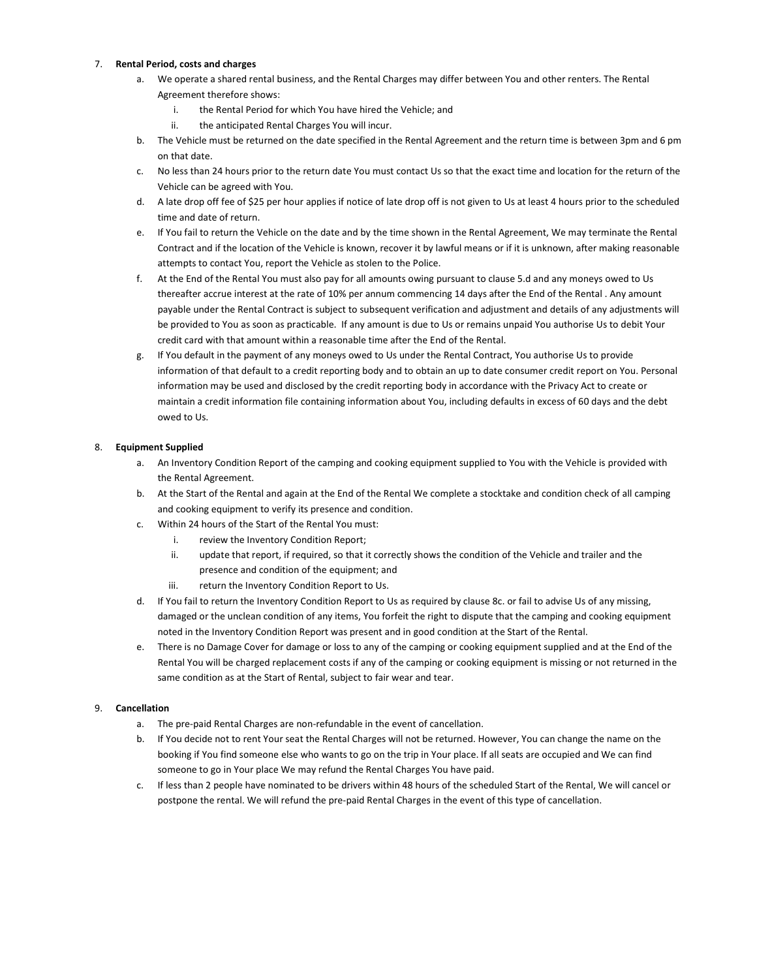## 7. **Rental Period, costs and charges**

- a. We operate a shared rental business, and the Rental Charges may differ between You and other renters. The Rental Agreement therefore shows:
	- i. the Rental Period for which You have hired the Vehicle; and
	- ii. the anticipated Rental Charges You will incur.
- b. The Vehicle must be returned on the date specified in the Rental Agreement and the return time is between 3pm and 6 pm on that date.
- c. No less than 24 hours prior to the return date You must contact Us so that the exact time and location for the return of the Vehicle can be agreed with You.
- d. A late drop off fee of \$25 per hour applies if notice of late drop off is not given to Us at least 4 hours prior to the scheduled time and date of return.
- e. If You fail to return the Vehicle on the date and by the time shown in the Rental Agreement, We may terminate the Rental Contract and if the location of the Vehicle is known, recover it by lawful means or if it is unknown, after making reasonable attempts to contact You, report the Vehicle as stolen to the Police.
- f. At the End of the Rental You must also pay for all amounts owing pursuant to clause 5.d and any moneys owed to Us thereafter accrue interest at the rate of 10% per annum commencing 14 days after the End of the Rental . Any amount payable under the Rental Contract is subject to subsequent verification and adjustment and details of any adjustments will be provided to You as soon as practicable. If any amount is due to Us or remains unpaid You authorise Us to debit Your credit card with that amount within a reasonable time after the End of the Rental.
- g. If You default in the payment of any moneys owed to Us under the Rental Contract, You authorise Us to provide information of that default to a credit reporting body and to obtain an up to date consumer credit report on You. Personal information may be used and disclosed by the credit reporting body in accordance with the Privacy Act to create or maintain a credit information file containing information about You, including defaults in excess of 60 days and the debt owed to Us.

## 8. **Equipment Supplied**

- a. An Inventory Condition Report of the camping and cooking equipment supplied to You with the Vehicle is provided with the Rental Agreement.
- b. At the Start of the Rental and again at the End of the Rental We complete a stocktake and condition check of all camping and cooking equipment to verify its presence and condition.
- c. Within 24 hours of the Start of the Rental You must:
	- i. review the Inventory Condition Report;
	- ii. update that report, if required, so that it correctly shows the condition of the Vehicle and trailer and the presence and condition of the equipment; and
	- iii. return the Inventory Condition Report to Us.
- d. If You fail to return the Inventory Condition Report to Us as required by clause 8c. or fail to advise Us of any missing, damaged or the unclean condition of any items, You forfeit the right to dispute that the camping and cooking equipment noted in the Inventory Condition Report was present and in good condition at the Start of the Rental.
- e. There is no Damage Cover for damage or loss to any of the camping or cooking equipment supplied and at the End of the Rental You will be charged replacement costs if any of the camping or cooking equipment is missing or not returned in the same condition as at the Start of Rental, subject to fair wear and tear.

## 9. **Cancellation**

- a. The pre-paid Rental Charges are non-refundable in the event of cancellation.
- b. If You decide not to rent Your seat the Rental Charges will not be returned. However, You can change the name on the booking if You find someone else who wants to go on the trip in Your place. If all seats are occupied and We can find someone to go in Your place We may refund the Rental Charges You have paid.
- c. If less than 2 people have nominated to be drivers within 48 hours of the scheduled Start of the Rental, We will cancel or postpone the rental. We will refund the pre-paid Rental Charges in the event of this type of cancellation.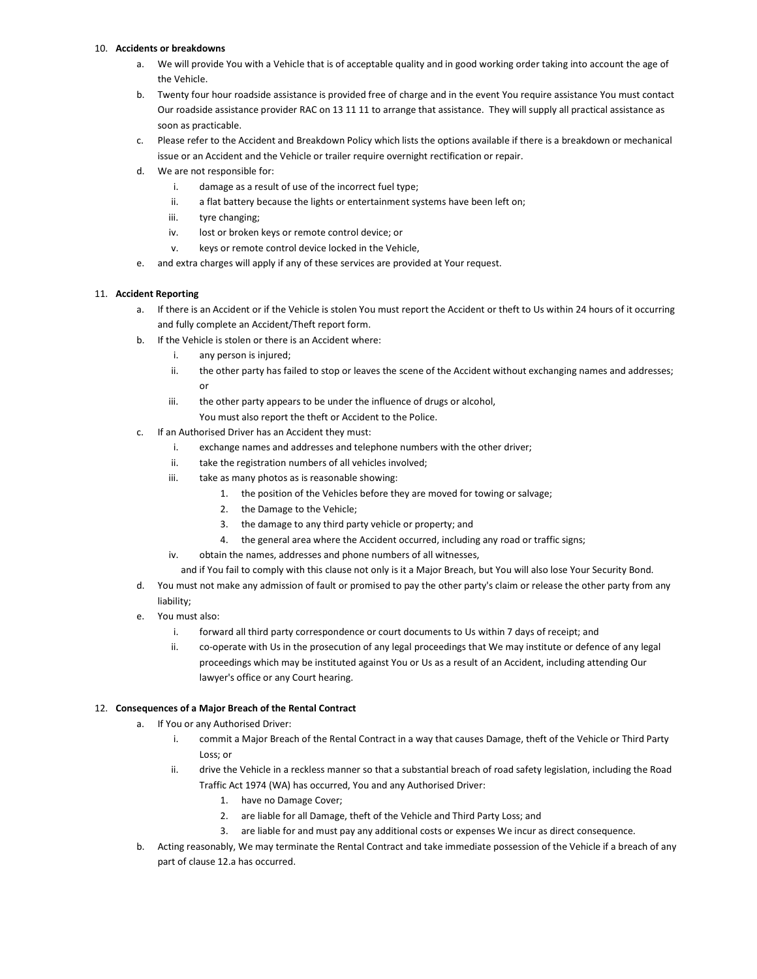## 10. **Accidents or breakdowns**

- a. We will provide You with a Vehicle that is of acceptable quality and in good working order taking into account the age of the Vehicle.
- b. Twenty four hour roadside assistance is provided free of charge and in the event You require assistance You must contact Our roadside assistance provider RAC on 13 11 11 to arrange that assistance. They will supply all practical assistance as soon as practicable.
- c. Please refer to the Accident and Breakdown Policy which lists the options available if there is a breakdown or mechanical issue or an Accident and the Vehicle or trailer require overnight rectification or repair.
- d. We are not responsible for:
	- i. damage as a result of use of the incorrect fuel type;
	- ii. a flat battery because the lights or entertainment systems have been left on;
	- iii. tyre changing;
	- iv. lost or broken keys or remote control device; or
	- v. keys or remote control device locked in the Vehicle,
- e. and extra charges will apply if any of these services are provided at Your request.

# 11. **Accident Reporting**

- a. If there is an Accident or if the Vehicle is stolen You must report the Accident or theft to Us within 24 hours of it occurring and fully complete an Accident/Theft report form.
- b. If the Vehicle is stolen or there is an Accident where:
	- i. any person is injured;
	- ii. the other party has failed to stop or leaves the scene of the Accident without exchanging names and addresses; or
	- iii. the other party appears to be under the influence of drugs or alcohol, You must also report the theft or Accident to the Police.
- c. If an Authorised Driver has an Accident they must:
	- i. exchange names and addresses and telephone numbers with the other driver;
	- ii. take the registration numbers of all vehicles involved;
	- iii. take as many photos as is reasonable showing:
		- 1. the position of the Vehicles before they are moved for towing or salvage;
		- 2. the Damage to the Vehicle;
		- 3. the damage to any third party vehicle or property; and
		- 4. the general area where the Accident occurred, including any road or traffic signs;
	- iv. obtain the names, addresses and phone numbers of all witnesses,
		- and if You fail to comply with this clause not only is it a Major Breach, but You will also lose Your Security Bond.
- d. You must not make any admission of fault or promised to pay the other party's claim or release the other party from any liability;
- e. You must also:
	- i. forward all third party correspondence or court documents to Us within 7 days of receipt; and
	- ii. co-operate with Us in the prosecution of any legal proceedings that We may institute or defence of any legal proceedings which may be instituted against You or Us as a result of an Accident, including attending Our lawyer's office or any Court hearing.

# 12. **Consequences of a Major Breach of the Rental Contract**

- a. If You or any Authorised Driver:
	- i. commit a Major Breach of the Rental Contract in a way that causes Damage, theft of the Vehicle or Third Party Loss; or
	- ii. drive the Vehicle in a reckless manner so that a substantial breach of road safety legislation, including the Road Traffic Act 1974 (WA) has occurred, You and any Authorised Driver:
		- 1. have no Damage Cover;
		- 2. are liable for all Damage, theft of the Vehicle and Third Party Loss; and
		- 3. are liable for and must pay any additional costs or expenses We incur as direct consequence.
- b. Acting reasonably, We may terminate the Rental Contract and take immediate possession of the Vehicle if a breach of any part of clause 12.a has occurred.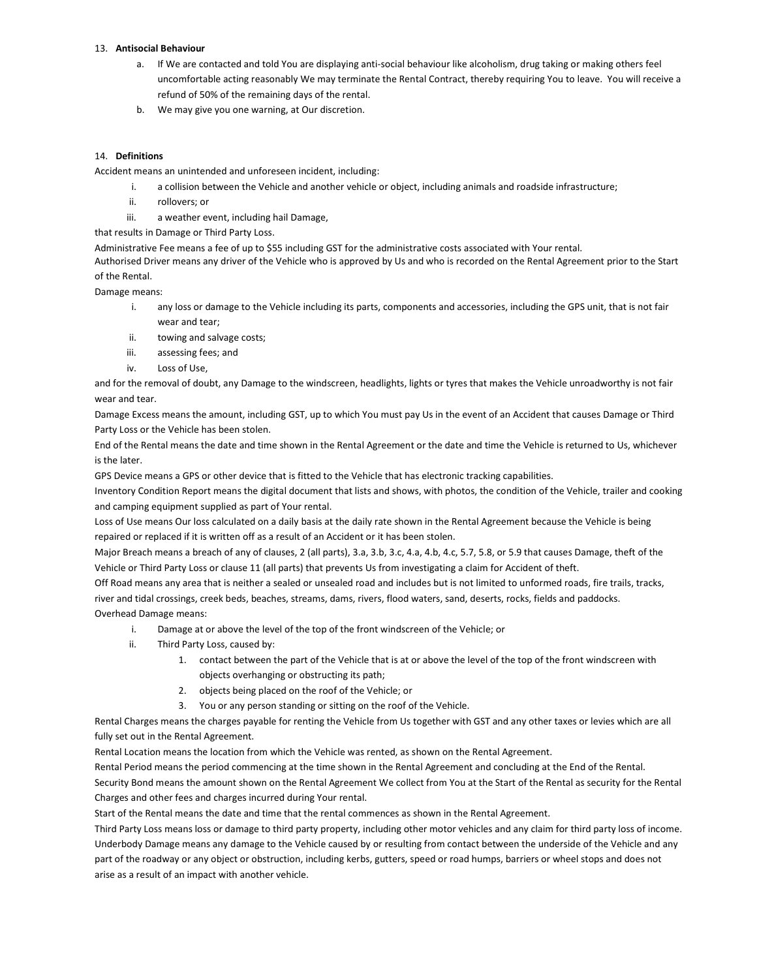## 13. **Antisocial Behaviour**

- a. If We are contacted and told You are displaying anti-social behaviour like alcoholism, drug taking or making others feel uncomfortable acting reasonably We may terminate the Rental Contract, thereby requiring You to leave. You will receive a refund of 50% of the remaining days of the rental.
- b. We may give you one warning, at Our discretion.

#### 14. **Definitions**

Accident means an unintended and unforeseen incident, including:

- i. a collision between the Vehicle and another vehicle or object, including animals and roadside infrastructure;
- ii. rollovers; or
- iii. a weather event, including hail Damage,

that results in Damage or Third Party Loss.

Administrative Fee means a fee of up to \$55 including GST for the administrative costs associated with Your rental.

Authorised Driver means any driver of the Vehicle who is approved by Us and who is recorded on the Rental Agreement prior to the Start of the Rental.

Damage means:

- i. any loss or damage to the Vehicle including its parts, components and accessories, including the GPS unit, that is not fair wear and tear;
- ii. towing and salvage costs;
- iii. assessing fees; and
- iv. Loss of Use,

and for the removal of doubt, any Damage to the windscreen, headlights, lights or tyres that makes the Vehicle unroadworthy is not fair wear and tear.

Damage Excess means the amount, including GST, up to which You must pay Us in the event of an Accident that causes Damage or Third Party Loss or the Vehicle has been stolen.

End of the Rental means the date and time shown in the Rental Agreement or the date and time the Vehicle is returned to Us, whichever is the later.

GPS Device means a GPS or other device that is fitted to the Vehicle that has electronic tracking capabilities.

Inventory Condition Report means the digital document that lists and shows, with photos, the condition of the Vehicle, trailer and cooking and camping equipment supplied as part of Your rental.

Loss of Use means Our loss calculated on a daily basis at the daily rate shown in the Rental Agreement because the Vehicle is being repaired or replaced if it is written off as a result of an Accident or it has been stolen.

Major Breach means a breach of any of clauses, 2 (all parts), 3.a, 3.b, 3.c, 4.a, 4.b, 4.c, 5.7, 5.8, or 5.9 that causes Damage, theft of the Vehicle or Third Party Loss or clause 11 (all parts) that prevents Us from investigating a claim for Accident of theft.

Off Road means any area that is neither a sealed or unsealed road and includes but is not limited to unformed roads, fire trails, tracks, river and tidal crossings, creek beds, beaches, streams, dams, rivers, flood waters, sand, deserts, rocks, fields and paddocks. Overhead Damage means:

- i. Damage at or above the level of the top of the front windscreen of the Vehicle; or
- ii. Third Party Loss, caused by:
	- 1. contact between the part of the Vehicle that is at or above the level of the top of the front windscreen with objects overhanging or obstructing its path;
	- 2. objects being placed on the roof of the Vehicle; or
	- 3. You or any person standing or sitting on the roof of the Vehicle.

Rental Charges means the charges payable for renting the Vehicle from Us together with GST and any other taxes or levies which are all fully set out in the Rental Agreement.

Rental Location means the location from which the Vehicle was rented, as shown on the Rental Agreement.

Rental Period means the period commencing at the time shown in the Rental Agreement and concluding at the End of the Rental.

Security Bond means the amount shown on the Rental Agreement We collect from You at the Start of the Rental as security for the Rental Charges and other fees and charges incurred during Your rental.

Start of the Rental means the date and time that the rental commences as shown in the Rental Agreement.

Third Party Loss means loss or damage to third party property, including other motor vehicles and any claim for third party loss of income. Underbody Damage means any damage to the Vehicle caused by or resulting from contact between the underside of the Vehicle and any part of the roadway or any object or obstruction, including kerbs, gutters, speed or road humps, barriers or wheel stops and does not arise as a result of an impact with another vehicle.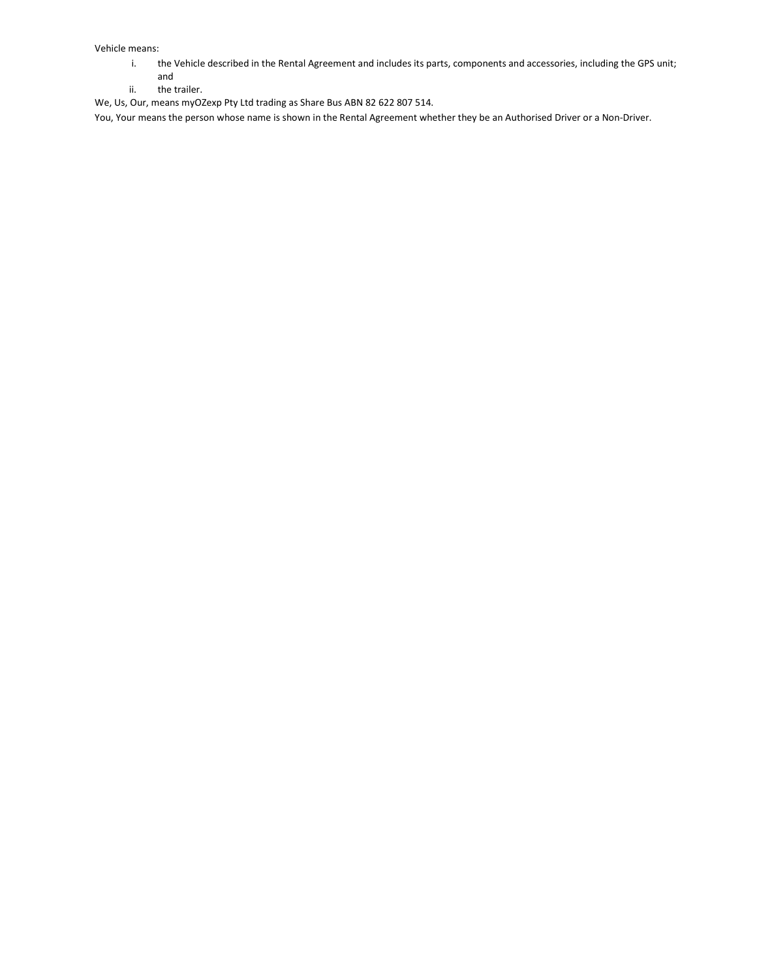Vehicle means:

- i. the Vehicle described in the Rental Agreement and includes its parts, components and accessories, including the GPS unit;
- and ii. the trailer.

We, Us, Our, means myOZexp Pty Ltd trading as Share Bus ABN 82 622 807 514.

You, Your means the person whose name is shown in the Rental Agreement whether they be an Authorised Driver or a Non-Driver.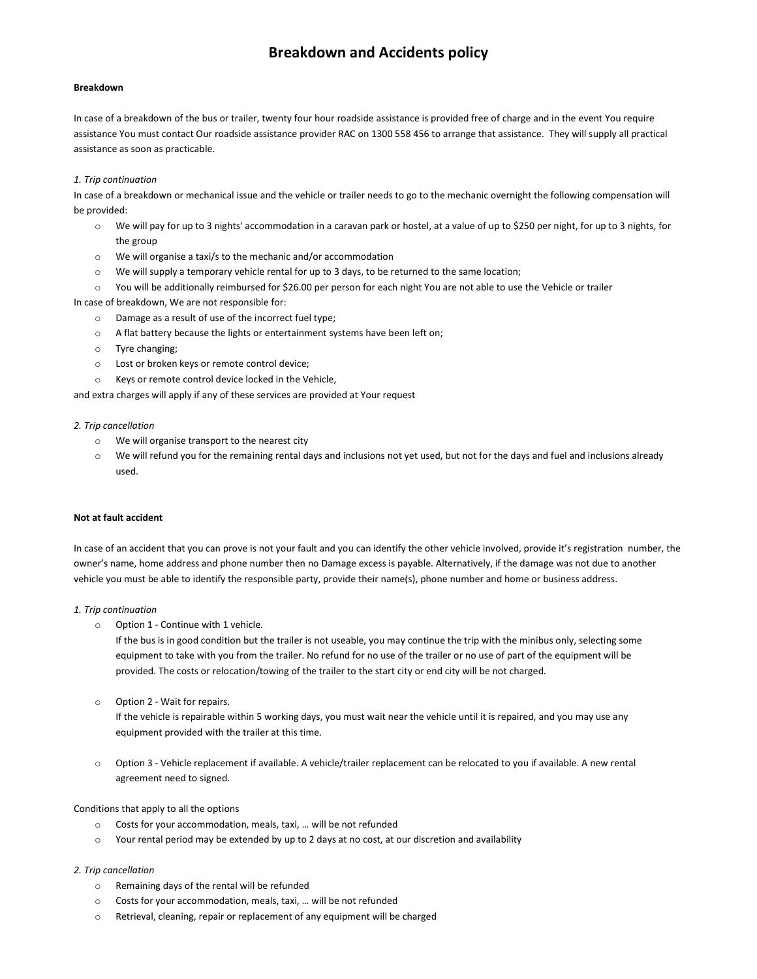# **Breakdown and Accidents policy**

#### **Breakdown**

In case of a breakdown of the bus or trailer, twenty four hour roadside assistance is provided free of charge and in the event You require assistance You must contact Our roadside assistance provider RAC on 1300 558 456 to arrange that assistance. They will supply all practical assistance as soon as practicable.

#### *1. Trip continuation*

In case of a breakdown or mechanical issue and the vehicle or trailer needs to go to the mechanic overnight the following compensation will be provided:

- o We will pay for up to 3 nights' accommodation in a caravan park or hostel, at a value of up to \$250 per night, for up to 3 nights, for the group
- o We will organise a taxi/s to the mechanic and/or accommodation
- o We will supply a temporary vehicle rental for up to 3 days, to be returned to the same location;
- o You will be additionally reimbursed for \$26.00 per person for each night You are not able to use the Vehicle or trailer

In case of breakdown, We are not responsible for:

- o Damage as a result of use of the incorrect fuel type;
- o A flat battery because the lights or entertainment systems have been left on;
- o Tyre changing;
- o Lost or broken keys or remote control device;
- o Keys or remote control device locked in the Vehicle,

and extra charges will apply if any of these services are provided at Your request

#### *2. Trip cancellation*

- o We will organise transport to the nearest city
- o We will refund you for the remaining rental days and inclusions not yet used, but not for the days and fuel and inclusions already used.

#### **Not at fault accident**

In case of an accident that you can prove is not your fault and you can identify the other vehicle involved, provide it's registration number, the owner's name, home address and phone number then no Damage excess is payable. Alternatively, if the damage was not due to another vehicle you must be able to identify the responsible party, provide their name(s), phone number and home or business address.

#### *1. Trip continuation*

o Option 1 - Continue with 1 vehicle.

If the bus is in good condition but the trailer is not useable, you may continue the trip with the minibus only, selecting some equipment to take with you from the trailer. No refund for no use of the trailer or no use of part of the equipment will be provided. The costs or relocation/towing of the trailer to the start city or end city will be not charged.

o Option 2 - Wait for repairs.

If the vehicle is repairable within 5 working days, you must wait near the vehicle until it is repaired, and you may use any equipment provided with the trailer at this time.

o Option 3 - Vehicle replacement if available. A vehicle/trailer replacement can be relocated to you if available. A new rental agreement need to signed.

## Conditions that apply to all the options

- o Costs for your accommodation, meals, taxi, … will be not refunded
- $\circ$  Your rental period may be extended by up to 2 days at no cost, at our discretion and availability

## *2. Trip cancellation*

- o Remaining days of the rental will be refunded
- o Costs for your accommodation, meals, taxi, … will be not refunded
- o Retrieval, cleaning, repair or replacement of any equipment will be charged